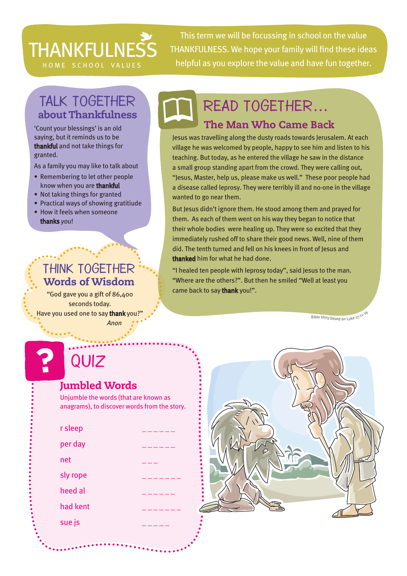# **THANKFULNESS**

This term we will be focussing in school on the value THANKFULNESS. We hope your family will find these ideas HOME SCHOOL VALUES helpful as you explore the value and have fun together.

# TALK TOGETHER about Thankfulness

'Count your blessings' is an old saying, but it reminds us to be thankful and not take things for granted.

As a family you may like to talk about

- Remembering to let other people know when you are thankful
- Not taking things for granted
- Practical ways of showing gratitiude
- How it feels when someone thanks *you*!

### Think together Words of Wisdom

"God gave you a gift of 86,400 seconds today. Have you used one to say thank you?'

 *Anon*

# The Man Who Came Back Read together…

Jesus was travelling along the dusty roads towards Jerusalem. At each village he was welcomed by people, happy to see him and listen to his teaching. But today, as he entered the village he saw in the distance a small group standing apart from the crowd. They were calling out, "Jesus, Master, help us, please make us well." These poor people had a disease called leprosy. They were terribly ill and no-one in the village wanted to go near them.

But Jesus didn't ignore them. He stood among them and prayed for them. As each of them went on his way they began to notice that their whole bodies were healing up. They were so excited that they immediately rushed off to share their good news. Well, nine of them did. The tenth turned and fell on his knees in front of Jesus and thanked him for what he had done.

"I healed ten people with leprosy today", said Jesus to the man. "Where are the others?". But then he smiled "Well at least you came back to say thank you!".

Bible story based on Luke 17:11-19

# Quiz

### Jumbled Words

Unjumble the words (that are known as anagrams), to discover words from the story.

| r sleep  |  |
|----------|--|
| per day  |  |
| net      |  |
| sly rope |  |
| heed al  |  |
| had kent |  |
| sue js   |  |
|          |  |